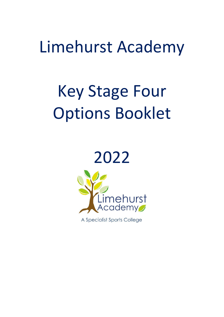## Limehurst Academy

# Key Stage Four Options Booklet





A Specialist Sports College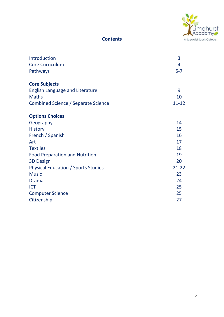

#### **Contents**

| Introduction<br><b>Core Curriculum</b><br>Pathways     | 3<br>4<br>$5 - 7$ |
|--------------------------------------------------------|-------------------|
| <b>Core Subjects</b>                                   |                   |
| <b>English Language and Literature</b><br><b>Maths</b> | 9<br>10           |
| <b>Combined Science / Separate Science</b>             | $11 - 12$         |
| <b>Options Choices</b>                                 |                   |
| Geography                                              | 14                |
| <b>History</b>                                         | 15                |
| French / Spanish                                       | 16                |
| Art                                                    | 17                |
| <b>Textiles</b>                                        | 18                |
| <b>Food Preparation and Nutrition</b>                  | 19                |
| <b>3D Design</b>                                       | 20                |
| <b>Physical Education / Sports Studies</b>             | $21 - 22$         |
| <b>Music</b>                                           | 23                |
| <b>Drama</b>                                           | 24                |
| <b>ICT</b>                                             | 25                |
| <b>Computer Science</b>                                | 25                |
| Citizenship                                            | 27                |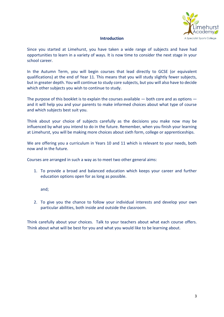

#### **Introduction**

Since you started at Limehurst, you have taken a wide range of subjects and have had opportunities to learn in a variety of ways. It is now time to consider the next stage in your school career.

In the Autumn Term, you will begin courses that lead directly to GCSE (or equivalent qualifications) at the end of Year 11. This means that you will study slightly fewer subjects, but in greater depth. You will continue to study core subjects, but you will also have to decide which other subjects you wish to continue to study.

The purpose of this booklet is to explain the courses available — both core and as options and it will help you and your parents to make informed choices about what type of course and which subjects best suit you.

Think about your choice of subjects carefully as the decisions you make now may be influenced by what you intend to do in the future. Remember, when you finish your learning at Limehurst, you will be making more choices about sixth form, college or apprenticeships.

We are offering you a curriculum in Years 10 and 11 which is relevant to your needs, both now and in the future.

Courses are arranged in such a way as to meet two other general aims:

1. To provide a broad and balanced education which keeps your career and further education options open for as long as possible.

and;

2. To give you the chance to follow your individual interests and develop your own particular abilities, both inside and outside the classroom.

Think carefully about your choices. Talk to your teachers about what each course offers. Think about what will be best for you and what you would like to be learning about.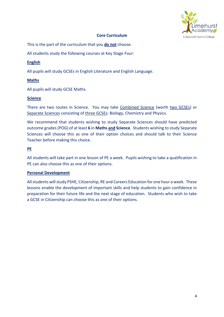

#### **Core Curriculum**

This is the part of the curriculum that you **do not** choose.

All students study the following courses at Key Stage Four:

#### **English**

All pupils will study GCSEs in English Literature and English Language.

#### **Maths**

All pupils will study GCSE Maths.

#### **Science**

There are two routes in Science. You may take Combined Science (worth two GCSEs) or Separate Sciences consisting of three GCSEs: Biology, Chemistry and Physics.

We recommend that students wishing to study Separate Sciences should have predicted outcome grades (POG) of at least **6** in **Maths and Science**. Students wishing to study Separate Sciences will choose this as one of their option choices and should talk to their Science Teacher before making this choice.

#### **PE**

All students will take part in one lesson of PE a week. Pupils wishing to take a qualification in PE can also choose this as one of their options.

#### **Personal Development**

All students will study PSHE, Citizenship, RE and Careers Education for one hour a week. These lessons enable the development of important skills and help students to gain confidence in preparation for their future life and the next stage of education. Students who wish to take a GCSE in Citizenship can choose this as one of their options.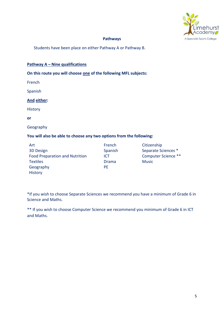

#### **Pathways**

Students have been place on either Pathway A or Pathway B.

#### **Pathway A – Nine qualifications**

#### **On this route you will choose one of the following MFL subjects:**

French

Spanish

#### **And either:**

History

**or**

Geography

#### **You will also be able to choose any two options from the following:**

Art 3D Design Food Preparation and Nutrition **Textiles** Geography **History** 

French Spanish ICT Drama PE

Citizenship Separate Sciences \* Computer Science \*\* Music

\*If you wish to choose Separate Sciences we recommend you have a minimum of Grade 6 in Science and Maths.

\*\* If you wish to choose Computer Science we recommend you minimum of Grade 6 in ICT and Maths.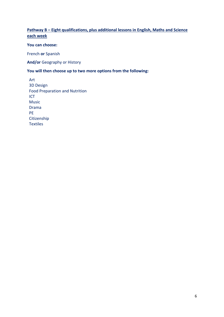#### **Pathway B – Eight qualifications, plus additional lessons in English, Maths and Science each week**

#### **You can choose:**

French **or** Spanish

**And/or** Geography or History

#### **You will then choose up to two more options from the following:**

Art 3D Design Food Preparation and Nutrition ICT Music Drama PE Citizenship **Textiles**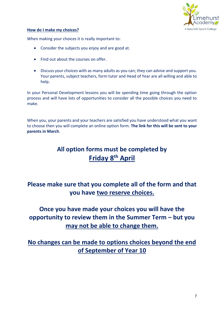

#### **How do I make my choices?**

When making your choices it is really important to:

- Consider the subjects you enjoy and are good at.
- Find out about the courses on offer.
- Discuss your choices with as many adults as you can; they can advise and support you. Your parents, subject teachers, form tutor and Head of Year are all willing and able to help.

In your Personal Development lessons you will be spending time going through the option process and will have lots of opportunities to consider all the possible choices you need to make.

When you, your parents and your teachers are satisfied you have understood what you want to choose then you will complete an online option form. **The link for this will be sent to your parents in March**.

### **All option forms must be completed by Friday 8 th April**

### **Please make sure that you complete all of the form and that you have two reserve choices.**

### **Once you have made your choices you will have the opportunity to review them in the Summer Term – but you may not be able to change them.**

**No changes can be made to options choices beyond the end of September of Year 10**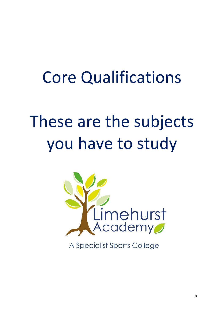## Core Qualifications

# These are the subjects you have to study



A Specialist Sports College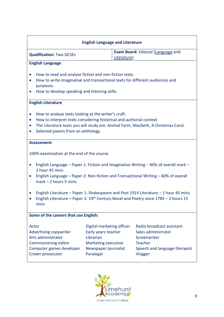| <b>English Language and Literature</b>                                                                                                                                                                                              |                                                                                                                                                                                         |  |                                                                                                                                |  |  |
|-------------------------------------------------------------------------------------------------------------------------------------------------------------------------------------------------------------------------------------|-----------------------------------------------------------------------------------------------------------------------------------------------------------------------------------------|--|--------------------------------------------------------------------------------------------------------------------------------|--|--|
| <b>Exam Board:</b> Edexcel (Language and<br><b>Qualification: Two GCSEs</b><br>Literature)                                                                                                                                          |                                                                                                                                                                                         |  |                                                                                                                                |  |  |
| <b>English Language</b>                                                                                                                                                                                                             |                                                                                                                                                                                         |  |                                                                                                                                |  |  |
| purposes.<br>$\bullet$                                                                                                                                                                                                              | How to read and analyse fiction and non-fiction texts.<br>How to write imaginative and transactional texts for different audiences and<br>How to develop speaking and listening skills. |  |                                                                                                                                |  |  |
| <b>English Literature</b>                                                                                                                                                                                                           |                                                                                                                                                                                         |  |                                                                                                                                |  |  |
| How to analyse texts looking at the writer's craft.<br>$\bullet$<br>How to interpret texts considering historical and authorial context<br>$\bullet$<br>$\bullet$<br>Selected poems from an anthology.<br>$\bullet$                 |                                                                                                                                                                                         |  | The Literature texts you will study are: Animal Farm, Macbeth, A Christmas Carol.                                              |  |  |
| <b>Assessment:</b>                                                                                                                                                                                                                  |                                                                                                                                                                                         |  |                                                                                                                                |  |  |
| 100% examination at the end of the course.                                                                                                                                                                                          |                                                                                                                                                                                         |  |                                                                                                                                |  |  |
| English Language – Paper 1: Fiction and Imaginative Writing – 40% of overall mark –<br>1 hour 45 mins<br>English Language – Paper 2: Non-fiction and Transactional Writing – 60% of overall<br>$\bullet$<br>$mark - 2 hours 5 mins$ |                                                                                                                                                                                         |  |                                                                                                                                |  |  |
| English Literature - Paper 1: Shakespeare and Post 1914 Literature - 1 hour 45 mins<br>$\bullet$<br>English Literature - Paper 2: $19th$ Century Novel and Poetry since 1789 - 2 hours 15<br>mins                                   |                                                                                                                                                                                         |  |                                                                                                                                |  |  |
| Some of the careers that use English:                                                                                                                                                                                               |                                                                                                                                                                                         |  |                                                                                                                                |  |  |
| Actor<br><b>Advertising copywriter</b><br>Arts administrator<br>Commissioning editor<br>Computer games developer<br>Crown prosecutor                                                                                                | Digital marketing officer<br>Early years teacher<br>Librarian<br>Marketing executive<br>Newspaper journalist<br>Paralegal                                                               |  | Radio broadcast assistant<br>Sales administrator<br>Screenwriter<br><b>Teacher</b><br>Speech and language therapist<br>Vlogger |  |  |

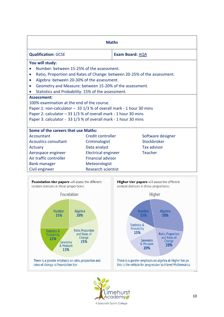| <b>Maths</b>                                                          |                            |                                                                          |  |  |
|-----------------------------------------------------------------------|----------------------------|--------------------------------------------------------------------------|--|--|
| <b>Qualification: GCSE</b>                                            |                            | <b>Exam Board: AQA</b>                                                   |  |  |
| You will study:                                                       |                            |                                                                          |  |  |
| Number: between 15-25% of the assessment.                             |                            |                                                                          |  |  |
| $\bullet$                                                             |                            | Ratio, Proportion and Rates of Change: between 20-25% of the assessment. |  |  |
| Algebra: between 20-30% of the assessment.<br>$\bullet$               |                            |                                                                          |  |  |
| Geometry and Measure: between 15-20% of the assessment.<br>$\bullet$  |                            |                                                                          |  |  |
| Statistics and Probability: 15% of the assessment.                    |                            |                                                                          |  |  |
| <b>Assessment:</b>                                                    |                            |                                                                          |  |  |
| 100% examination at the end of the course.                            |                            |                                                                          |  |  |
| Paper 1: non-calculator $-$ 33 1/3 % of overall mark - 1 hour 30 mins |                            |                                                                          |  |  |
| Paper 2: calculator $-33$ 1/3 % of overall mark - 1 hour 30 mins      |                            |                                                                          |  |  |
| Paper 3: calculator - 33 1/3 % of overall mark - 1 hour 30 mins       |                            |                                                                          |  |  |
| Some of the careers that use Maths:                                   |                            |                                                                          |  |  |
| Accountant                                                            | Credit controller          | Software designer                                                        |  |  |
| <b>Acoustics consultant</b>                                           | Criminologist              | Stockbroker                                                              |  |  |
| Actuary                                                               | Data analyst               | <b>Tax advisor</b>                                                       |  |  |
| Aerospace engineer                                                    | <b>Electrical engineer</b> | <b>Teacher</b>                                                           |  |  |
| Air traffic controller                                                | <b>Financial advisor</b>   |                                                                          |  |  |
| <b>Bank manager</b>                                                   | Meteorologist              |                                                                          |  |  |
| Civil engineer                                                        | <b>Research scientist</b>  |                                                                          |  |  |



Higher tier papers will assess the different content domains in these proportions:



this is the vehicle for progression to A level Mathematics.



 $\overline{a}$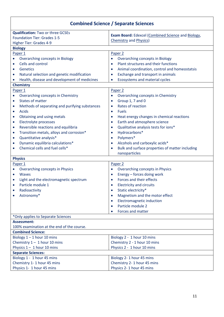|                                                             | <b>Combined Science / Separate Sciences</b>                  |
|-------------------------------------------------------------|--------------------------------------------------------------|
| <b>Qualification: Two or three GCSEs</b>                    |                                                              |
| <b>Foundation Tier: Grades 1-5</b>                          | Exam Board: Edexcel (Combined Science and Biology,           |
| Higher Tier: Grades 4-9                                     | <b>Chemistry and Physics)</b>                                |
| <b>Biology</b>                                              |                                                              |
| Paper 1                                                     | Paper <sub>2</sub>                                           |
| <b>Overarching concepts in Biology</b>                      | Overarching concepts in Biology<br>$\bullet$                 |
| Cells and control<br>$\bullet$                              | Plant structures and their functions<br>$\bullet$            |
| Genetics<br>$\bullet$                                       | Animal coordination, control and homeostatsis<br>$\bullet$   |
| Natural selection and genetic modification<br>$\bullet$     | Exchange and transport in animals<br>$\bullet$               |
| Health, disease and development of medicines<br>$\bullet$   | Ecosystems and material cycles<br>$\bullet$                  |
| <b>Chemistry</b>                                            |                                                              |
| Paper 1                                                     | Paper <sub>2</sub>                                           |
| Overarching concepts in Chemistry<br>$\bullet$              | Overarching concepts in Chemistry<br>$\bullet$               |
| <b>States of matter</b><br>$\bullet$                        | Group 1, 7 and 0<br>$\bullet$                                |
| Methods of separating and purifying substances<br>$\bullet$ | Rates of reaction<br>$\bullet$                               |
| Acids<br>$\bullet$                                          | <b>Fuels</b><br>$\bullet$                                    |
| Obtaining and using metals<br>$\bullet$                     | Heat energy changes in chemical reactions<br>$\bullet$       |
| Electrolyte processes<br>$\bullet$                          | Earth and atmosphere science<br>$\bullet$                    |
| Reversible reactions and equilibria<br>$\bullet$            | Qualitative analysis tests for ions*<br>$\bullet$            |
| Transition metals, alloys and corrosion*<br>$\bullet$       | Hydrocarbons*<br>$\bullet$                                   |
| Quantitative analysis*<br>$\bullet$                         | Polymers*<br>$\bullet$                                       |
| Dynamic equilibria calculations*<br>$\bullet$               | Alcohols and carboxylic acids*<br>$\bullet$                  |
| Chemical cells and fuel cells*<br>$\bullet$                 | Bulk and surface properties of matter including<br>$\bullet$ |
|                                                             | nanoparticles                                                |
| <b>Physics</b>                                              |                                                              |
| Paper 1                                                     | Paper <sub>2</sub>                                           |
| Overarching concepts in Physics                             | Overarching concepts in Physics<br>$\bullet$                 |
| <b>Waves</b><br>$\bullet$                                   | Energy - forces doing work<br>$\bullet$                      |
| Light and the electromagnetic spectrum<br>$\bullet$         | Forces and their effects<br>$\bullet$                        |
| Particle module 1<br>$\bullet$                              | <b>Electricity and circuits</b>                              |
| Radioactivity                                               | Static electricity*<br>$\bullet$                             |
| Astronomy*                                                  | Magnetism and the motor effect<br>$\bullet$                  |
|                                                             | <b>Electromagnetic induction</b><br>$\bullet$                |
|                                                             | Particle module 2<br>$\bullet$                               |
|                                                             | Forces and matter                                            |
| *Only applies to Separate Sciences                          |                                                              |
| <b>Assessment:</b>                                          |                                                              |
| 100% examination at the end of the course.                  |                                                              |
| <b>Combined Science:</b>                                    |                                                              |
| Biology $1 - 1$ hour 10 mins                                | Biology 2 - 1 hour 10 mins                                   |
| Chemistry $1 - 1$ hour 10 mins                              | Chemistry 2 - 1 hour 10 mins                                 |
| Physics $1 - 1$ hour 10 mins                                | Physics 2 - 1 hour 10 mins                                   |
| <b>Separate Sciences:</b>                                   |                                                              |
| Biology 1 - 1 hour 45 mins                                  | Biology 2-1 hour 45 mins                                     |
| Chemistry 1-1 hour 45 mins                                  | Chemistry 2-1 hour 45 mins                                   |
| Physics 1- 1 hour 45 mins                                   | Physics 2-1 hour 45 mins                                     |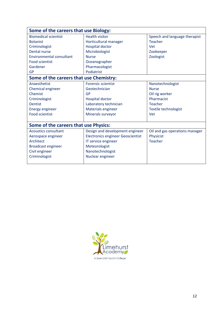| Some of the careers that use Biology:   |                                          |                                |  |
|-----------------------------------------|------------------------------------------|--------------------------------|--|
| <b>Biomedical scientist</b>             | <b>Health visitor</b>                    | Speech and language therapist  |  |
| <b>Botanist</b>                         | Horticultural manager                    | <b>Teacher</b>                 |  |
| Criminologist                           | <b>Hospital doctor</b>                   | <b>Vet</b>                     |  |
| <b>Dental nurse</b>                     | Microbiologist                           | Zookeeper                      |  |
| Environmental consultant                | <b>Nurse</b>                             | Zoologist                      |  |
| <b>Food scientist</b>                   | Oceanographer                            |                                |  |
| Gardener                                | Pharmacologist                           |                                |  |
| <b>GP</b>                               | Podiatrist                               |                                |  |
| Some of the careers that use Chemistry: |                                          |                                |  |
| Anaesthetist                            | <b>Forensic scientist</b>                | Nanotechnologist               |  |
| Chemical engineer                       | Geotechnician                            | <b>Nurse</b>                   |  |
| Chemist                                 | GP                                       | Oil rig worker                 |  |
| Criminologist                           | Hospital doctor                          | Pharmacist                     |  |
| <b>Dentist</b>                          | Laboratory technician                    | <b>Teacher</b>                 |  |
| <b>Energy engineer</b>                  | Materials engineer                       | Textile technologist           |  |
| <b>Food scientist</b>                   | Minerals surveyor                        | <b>Vet</b>                     |  |
|                                         |                                          |                                |  |
| Some of the careers that use Physics:   |                                          |                                |  |
| <b>Acoustics consultant</b>             | Design and development engineer          | Oil and gas operations manager |  |
| Aerospace engineer                      | <b>Electronics engineer Geoscientist</b> | Physicist                      |  |
| Architect                               | IT service engineer                      | <b>Teacher</b>                 |  |
| <b>Broadcast engineer</b>               | Meteorologist                            |                                |  |
| Civil engineer                          | Nanotechnologist                         |                                |  |
| Criminologist                           | Nuclear engineer                         |                                |  |
|                                         |                                          |                                |  |

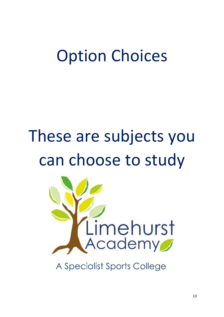## Option Choices

# These are subjects you can choose to study



A Specialist Sports College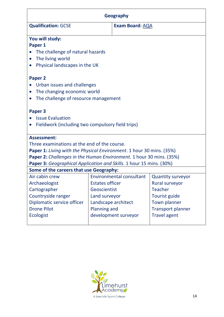| <b>Geography</b>                                                            |                        |                                 |                          |  |  |
|-----------------------------------------------------------------------------|------------------------|---------------------------------|--------------------------|--|--|
| <b>Qualification: GCSE</b>                                                  |                        | <b>Exam Board: AQA</b>          |                          |  |  |
| You will study:<br>Paper 1<br>The challenge of natural hazards              |                        |                                 |                          |  |  |
| The living world                                                            |                        |                                 |                          |  |  |
| Physical landscapes in the UK                                               |                        |                                 |                          |  |  |
| <b>Paper 2</b>                                                              |                        |                                 |                          |  |  |
| Urban issues and challenges                                                 |                        |                                 |                          |  |  |
| The changing economic world                                                 |                        |                                 |                          |  |  |
| The challenge of resource management                                        |                        |                                 |                          |  |  |
|                                                                             |                        |                                 |                          |  |  |
| Paper 3                                                                     |                        |                                 |                          |  |  |
| <b>Issue Evaluation</b>                                                     |                        |                                 |                          |  |  |
| Fieldwork (including two compulsory field trips)                            |                        |                                 |                          |  |  |
| <b>Assessment:</b>                                                          |                        |                                 |                          |  |  |
| Three examinations at the end of the course.                                |                        |                                 |                          |  |  |
| <b>Paper 1:</b> Living with the Physical Environment. 1 hour 30 mins. (35%) |                        |                                 |                          |  |  |
| <b>Paper 2:</b> Challenges in the Human Environment. 1 hour 30 mins. (35%)  |                        |                                 |                          |  |  |
| <b>Paper 3:</b> Geographical Application and Skills. 1 hour 15 mins. (30%)  |                        |                                 |                          |  |  |
| Some of the careers that use Geography:                                     |                        |                                 |                          |  |  |
| Air cabin crew                                                              |                        | <b>Environmental consultant</b> | <b>Quantity surveyor</b> |  |  |
| Archaeologist                                                               | <b>Estates officer</b> |                                 | Rural surveyor           |  |  |
| Cartographer                                                                | Geoscientist           |                                 | <b>Teacher</b>           |  |  |
| Countryside ranger                                                          | Land surveyor          |                                 | Tourist guide            |  |  |
| Diplomatic service officer                                                  | Landscape architect    |                                 | Town planner             |  |  |
| <b>Drone Pilot</b>                                                          | <b>Planning and</b>    |                                 | <b>Transport planner</b> |  |  |
| <b>Ecologist</b><br>development surveyor<br><b>Travel agent</b>             |                        |                                 |                          |  |  |
|                                                                             |                        |                                 |                          |  |  |

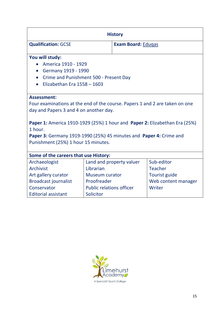| <b>History</b>                                                                                                                                              |                       |                           |                     |  |  |
|-------------------------------------------------------------------------------------------------------------------------------------------------------------|-----------------------|---------------------------|---------------------|--|--|
| <b>Qualification: GCSE</b>                                                                                                                                  |                       | <b>Exam Board: Edugas</b> |                     |  |  |
| You will study:<br>America 1910 - 1929                                                                                                                      |                       |                           |                     |  |  |
| Germany 1919 - 1990<br>$\bullet$<br>Crime and Punishment 500 - Present Day<br>$\bullet$                                                                     |                       |                           |                     |  |  |
| Elizabethan Era 1558 - 1603<br>$\bullet$                                                                                                                    |                       |                           |                     |  |  |
|                                                                                                                                                             |                       |                           |                     |  |  |
| <b>Assessment:</b>                                                                                                                                          |                       |                           |                     |  |  |
| Four examinations at the end of the course. Papers 1 and 2 are taken on one                                                                                 |                       |                           |                     |  |  |
| day and Papers 3 and 4 on another day.                                                                                                                      |                       |                           |                     |  |  |
| Paper 1: America 1910-1929 (25%) 1 hour and Paper 2: Elizabethan Era (25%)<br>1 hour.<br>Paper 3: Germany 1919-1990 (25%) 45 minutes and Paper 4: Crime and |                       |                           |                     |  |  |
| Punishment (25%) 1 hour 15 minutes.                                                                                                                         |                       |                           |                     |  |  |
|                                                                                                                                                             |                       |                           |                     |  |  |
| Some of the careers that use History:                                                                                                                       |                       |                           |                     |  |  |
| Archaeologist                                                                                                                                               |                       | Land and property valuer  | Sub-editor          |  |  |
| Archivist                                                                                                                                                   | Librarian             |                           | <b>Teacher</b>      |  |  |
| Art gallery curator                                                                                                                                         | <b>Museum curator</b> |                           | Tourist guide       |  |  |
| <b>Broadcast journalist</b>                                                                                                                                 | Proofreader           |                           | Web content manager |  |  |
| Writer<br>Conservator<br><b>Public relations officer</b>                                                                                                    |                       |                           |                     |  |  |
| <b>Editorial assistant</b>                                                                                                                                  | Solicitor             |                           |                     |  |  |

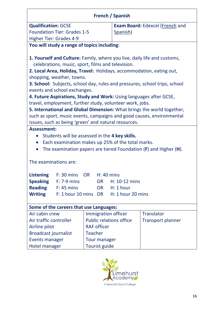|                                                                      | <b>French / Spanish</b>                           |                                |                                                                                   |  |  |
|----------------------------------------------------------------------|---------------------------------------------------|--------------------------------|-----------------------------------------------------------------------------------|--|--|
| <b>Qualification: GCSE</b>                                           |                                                   |                                | <b>Exam Board: Edexcel (French and</b>                                            |  |  |
| <b>Foundation Tier: Grades 1-5</b>                                   |                                                   | Spanish)                       |                                                                                   |  |  |
| Higher Tier: Grades 4-9                                              |                                                   |                                |                                                                                   |  |  |
| You will study a range of topics including:                          |                                                   |                                |                                                                                   |  |  |
|                                                                      |                                                   |                                |                                                                                   |  |  |
|                                                                      |                                                   |                                | 1. Yourself and Culture: Family, where you live, daily life and customs,          |  |  |
| celebrations, music, sport, films and television.                    |                                                   |                                |                                                                                   |  |  |
| 2. Local Area, Holiday, Travel: Holidays, accommodation, eating out, |                                                   |                                |                                                                                   |  |  |
| shopping, weather, towns.                                            |                                                   |                                |                                                                                   |  |  |
|                                                                      |                                                   |                                | <b>3. School:</b> Subjects, school day, rules and pressures, school trips, school |  |  |
| events and school exchanges.                                         |                                                   |                                |                                                                                   |  |  |
| 4. Future Aspirations, Study and Work: Using languages after GCSE,   |                                                   |                                |                                                                                   |  |  |
| travel, employment, further study, volunteer work, jobs.             |                                                   |                                |                                                                                   |  |  |
|                                                                      |                                                   |                                | 5. International and Global Dimension: What brings the world together,            |  |  |
|                                                                      |                                                   |                                | such as sport, music events, campaigns and good causes, environmental             |  |  |
| issues, such as being 'green' and natural resources.                 |                                                   |                                |                                                                                   |  |  |
| <b>Assessment:</b>                                                   |                                                   |                                |                                                                                   |  |  |
| Students will be assessed in the 4 key skills.<br>$\bullet$          |                                                   |                                |                                                                                   |  |  |
| $\bullet$                                                            | Each examination makes up 25% of the total marks. |                                |                                                                                   |  |  |
|                                                                      |                                                   |                                | The examination papers are tiered Foundation $(F)$ and Higher $(H)$ .             |  |  |
|                                                                      |                                                   |                                |                                                                                   |  |  |
| The examinations are:                                                |                                                   |                                |                                                                                   |  |  |
|                                                                      |                                                   |                                |                                                                                   |  |  |
|                                                                      | Listening F: 30 mins OR H: 40 mins                |                                |                                                                                   |  |  |
| <b>Speaking</b><br>$F: 7-9$ mins<br>$H: 10-12$ mins<br><b>OR</b>     |                                                   |                                |                                                                                   |  |  |
| <b>Reading</b><br>$F: 45$ mins<br>$H: 1$ hour<br>OR                  |                                                   |                                |                                                                                   |  |  |
| <b>Writing</b>                                                       | F: 1 hour 10 mins OR<br>H: 1 hour 20 mins         |                                |                                                                                   |  |  |
|                                                                      |                                                   |                                |                                                                                   |  |  |
| Some of the careers that use Languages:                              |                                                   |                                |                                                                                   |  |  |
| <b>Immigration officer</b><br>Air cabin crew                         |                                                   | <b>Translator</b>              |                                                                                   |  |  |
| Air traffic controller                                               |                                                   | <b>Public relations office</b> | <b>Transport planner</b>                                                          |  |  |
| Airline pilot<br><b>RAF officer</b>                                  |                                                   |                                |                                                                                   |  |  |
| <b>Broadcast journalist</b>                                          | <b>Teacher</b>                                    |                                |                                                                                   |  |  |
| <b>Events manager</b><br><b>Tour manager</b>                         |                                                   |                                |                                                                                   |  |  |
| Hotel manager                                                        | Tourist guide                                     |                                |                                                                                   |  |  |

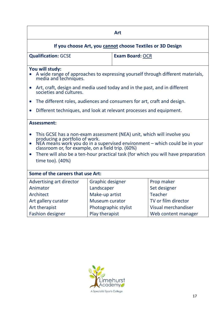| <b>Art</b>                                                                                                                                                                                                                                                                                                                                                        |                       |                        |                                                                                |  |
|-------------------------------------------------------------------------------------------------------------------------------------------------------------------------------------------------------------------------------------------------------------------------------------------------------------------------------------------------------------------|-----------------------|------------------------|--------------------------------------------------------------------------------|--|
|                                                                                                                                                                                                                                                                                                                                                                   |                       |                        | If you choose Art, you cannot choose Textiles or 3D Design                     |  |
| <b>Qualification: GCSE</b>                                                                                                                                                                                                                                                                                                                                        |                       | <b>Exam Board: OCR</b> |                                                                                |  |
| You will study:<br>media and techniques.                                                                                                                                                                                                                                                                                                                          |                       |                        | A wide range of approaches to expressing yourself through different materials, |  |
| Art, craft, design and media used today and in the past, and in different<br>$\bullet$<br>societies and cultures.                                                                                                                                                                                                                                                 |                       |                        |                                                                                |  |
| The different roles, audiences and consumers for art, craft and design.                                                                                                                                                                                                                                                                                           |                       |                        |                                                                                |  |
| Different techniques, and look at relevant processes and equipment.                                                                                                                                                                                                                                                                                               |                       |                        |                                                                                |  |
| <b>Assessment:</b>                                                                                                                                                                                                                                                                                                                                                |                       |                        |                                                                                |  |
| This GCSE has a non-exam assessment (NEA) unit, which will involve you<br>producing a portfolio of work.<br>NEA means work you do in a supervised environment – which could be in your<br>classroom or, for example, on a field trip. (60%)<br>$\bullet$<br>There will also be a ten-hour practical task (for which you will have preparation<br>time too). (40%) |                       |                        |                                                                                |  |
| Some of the careers that use Art:                                                                                                                                                                                                                                                                                                                                 |                       |                        |                                                                                |  |
| Advertising art director                                                                                                                                                                                                                                                                                                                                          | Graphic designer      |                        | Prop maker                                                                     |  |
| Animator                                                                                                                                                                                                                                                                                                                                                          | Landscaper            |                        | Set designer                                                                   |  |
| Architect                                                                                                                                                                                                                                                                                                                                                         | Make-up artist        |                        | <b>Teacher</b>                                                                 |  |
| Art gallery curator                                                                                                                                                                                                                                                                                                                                               | <b>Museum curator</b> |                        | TV or film director                                                            |  |
| Art therapist                                                                                                                                                                                                                                                                                                                                                     | Photographic stylist  |                        | <b>Visual merchandiser</b>                                                     |  |
| <b>Fashion designer</b>                                                                                                                                                                                                                                                                                                                                           | Play therapist        |                        | Web content manager                                                            |  |

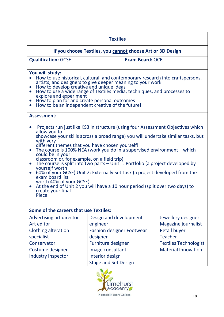| <b>Textiles</b>                                                                                                                                                                                                                                                                                                                                                                                                                                                                                                                                                                                                                                                                                                                                                                                             |                                                                                                                                     |                        |                                                                                                                                                  |  |
|-------------------------------------------------------------------------------------------------------------------------------------------------------------------------------------------------------------------------------------------------------------------------------------------------------------------------------------------------------------------------------------------------------------------------------------------------------------------------------------------------------------------------------------------------------------------------------------------------------------------------------------------------------------------------------------------------------------------------------------------------------------------------------------------------------------|-------------------------------------------------------------------------------------------------------------------------------------|------------------------|--------------------------------------------------------------------------------------------------------------------------------------------------|--|
|                                                                                                                                                                                                                                                                                                                                                                                                                                                                                                                                                                                                                                                                                                                                                                                                             | If you choose Textiles, you cannot choose Art or 3D Design                                                                          |                        |                                                                                                                                                  |  |
| <b>Qualification: GCSE</b>                                                                                                                                                                                                                                                                                                                                                                                                                                                                                                                                                                                                                                                                                                                                                                                  |                                                                                                                                     | <b>Exam Board: OCR</b> |                                                                                                                                                  |  |
| You will study:<br>How to use historical, cultural, and contemporary research into craftspersons,<br>$\bullet$<br>artists, and designers to give deeper meaning to your work<br>How to develop creative and unique ideas<br>$\bullet$<br>How to use a wide range of Textiles media, techniques, and processes to<br>$\bullet$<br>explore and experiment<br>How to plan for and create personal outcomes<br>$\bullet$<br>How to be an independent creative of the future!<br>$\bullet$                                                                                                                                                                                                                                                                                                                       |                                                                                                                                     |                        |                                                                                                                                                  |  |
| <b>Assessment:</b>                                                                                                                                                                                                                                                                                                                                                                                                                                                                                                                                                                                                                                                                                                                                                                                          |                                                                                                                                     |                        |                                                                                                                                                  |  |
| Projects run just like KS3 in structure (using four Assessment Objectives which<br>allow you to<br>showcase your skills across a broad range) you will undertake similar tasks, but<br>with very<br>different themes that you have chosen yourself!<br>The course is 100% NEA (work you do in a supervised environment $-$ which<br>$\bullet$<br>could be in your<br>classroom or, for example, on a field trip).<br>The course is split into two parts $-$ Unit 1: Portfolio (a project developed by<br>$\bullet$<br>yourself worth<br>60% of your GCSE) Unit 2: Externally Set Task (a project developed from the<br>$\bullet$<br>exam board list<br>worth 40% of your GCSE).<br>At the end of Unit 2 you will have a 10 hour period (split over two days) to<br>$\bullet$<br>create your final<br>Piece. |                                                                                                                                     |                        |                                                                                                                                                  |  |
| <b>Some of the careers that use Textiles:</b>                                                                                                                                                                                                                                                                                                                                                                                                                                                                                                                                                                                                                                                                                                                                                               |                                                                                                                                     |                        |                                                                                                                                                  |  |
| Advertising art director<br>Art editor<br><b>Clothing alteration</b><br>specialist<br>Conservator<br>Costume designer                                                                                                                                                                                                                                                                                                                                                                                                                                                                                                                                                                                                                                                                                       | Design and development<br>engineer<br><b>Fashion designer Footwear</b><br>designer<br><b>Furniture designer</b><br>Image consultant |                        | Jewellery designer<br>Magazine journalist<br><b>Retail buyer</b><br><b>Teacher</b><br><b>Textiles Technologist</b><br><b>Material Innovation</b> |  |
| <b>Industry Inspector</b><br>Interior design<br><b>Stage and Set Design</b>                                                                                                                                                                                                                                                                                                                                                                                                                                                                                                                                                                                                                                                                                                                                 |                                                                                                                                     |                        |                                                                                                                                                  |  |

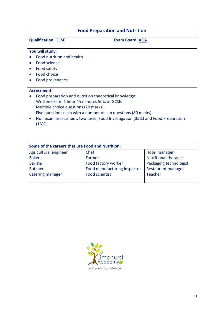| <b>Food Preparation and Nutrition</b>                                                                                                                                                                                                                                                                          |                                                       |                               |  |  |
|----------------------------------------------------------------------------------------------------------------------------------------------------------------------------------------------------------------------------------------------------------------------------------------------------------------|-------------------------------------------------------|-------------------------------|--|--|
| <b>Qualification: GCSE</b>                                                                                                                                                                                                                                                                                     | Exam Board: AQA                                       |                               |  |  |
| You will study:                                                                                                                                                                                                                                                                                                |                                                       |                               |  |  |
| Food nutrition and health                                                                                                                                                                                                                                                                                      |                                                       |                               |  |  |
| Food science                                                                                                                                                                                                                                                                                                   |                                                       |                               |  |  |
| Food safety<br>$\bullet$                                                                                                                                                                                                                                                                                       |                                                       |                               |  |  |
| Food choice                                                                                                                                                                                                                                                                                                    |                                                       |                               |  |  |
| Food provenance                                                                                                                                                                                                                                                                                                |                                                       |                               |  |  |
| <b>Assessment:</b>                                                                                                                                                                                                                                                                                             |                                                       |                               |  |  |
| Food preparation and nutrition theoretical knowledge:<br>Written exam: 1 hour 45 minutes 50% of GCSE.<br>Multiple choice questions (20 marks).<br>Five questions each with a number of sub questions (80 marks).<br>Non exam assessment: two tasks, Food Investigation (35%) and Food Preparation<br>$(15%)$ . |                                                       |                               |  |  |
| Some of the careers that use Food and Nutrition:                                                                                                                                                                                                                                                               |                                                       |                               |  |  |
| Agricultural engineer                                                                                                                                                                                                                                                                                          | Chef                                                  | Hotel manager                 |  |  |
| <b>Baker</b>                                                                                                                                                                                                                                                                                                   | Farmer                                                | <b>Nutritional therapist</b>  |  |  |
| <b>Barista</b><br><b>Butcher</b>                                                                                                                                                                                                                                                                               | Food factory worker                                   | Packaging technologist        |  |  |
| Catering manager                                                                                                                                                                                                                                                                                               | Food manufacturing inspector<br><b>Food scientist</b> | Restaurant manager<br>Teacher |  |  |

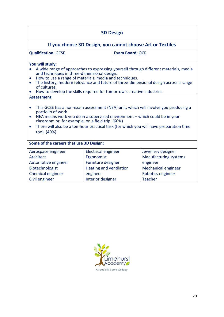| <b>3D Design</b>                                                                                                                                                                                                                                                                                                                                                                                                                                                                                                                                                                                                                                                                                                                                                                                                                                 |                                                                                                       |                        |                                                                                                            |  |
|--------------------------------------------------------------------------------------------------------------------------------------------------------------------------------------------------------------------------------------------------------------------------------------------------------------------------------------------------------------------------------------------------------------------------------------------------------------------------------------------------------------------------------------------------------------------------------------------------------------------------------------------------------------------------------------------------------------------------------------------------------------------------------------------------------------------------------------------------|-------------------------------------------------------------------------------------------------------|------------------------|------------------------------------------------------------------------------------------------------------|--|
|                                                                                                                                                                                                                                                                                                                                                                                                                                                                                                                                                                                                                                                                                                                                                                                                                                                  |                                                                                                       |                        | If you choose 3D Design, you cannot choose Art or Textiles                                                 |  |
| <b>Qualification: GCSE</b>                                                                                                                                                                                                                                                                                                                                                                                                                                                                                                                                                                                                                                                                                                                                                                                                                       |                                                                                                       | <b>Exam Board: OCR</b> |                                                                                                            |  |
| You will study:<br>A wide range of approaches to expressing yourself through different materials, media<br>and techniques in three-dimensional design.<br>How to use a range of materials, media and techniques.<br>$\bullet$<br>The history, modern relevance and future of three-dimensional design across a range<br>$\bullet$<br>of cultures.<br>How to develop the skills required for tomorrow's creative industries.<br><b>Assessment:</b><br>This GCSE has a non-exam assessment (NEA) unit, which will involve you producing a<br>$\bullet$<br>portfolio of work.<br>NEA means work you do in a supervised environment - which could be in your<br>$\bullet$<br>classroom or, for example, on a field trip. (60%)<br>There will also be a ten-hour practical task (for which you will have preparation time<br>$\bullet$<br>too). (40%) |                                                                                                       |                        |                                                                                                            |  |
| Some of the careers that use 3D Design:                                                                                                                                                                                                                                                                                                                                                                                                                                                                                                                                                                                                                                                                                                                                                                                                          |                                                                                                       |                        |                                                                                                            |  |
| Aerospace engineer<br>Architect<br>Automotive engineer<br>Biotechnologist<br>Chemical engineer                                                                                                                                                                                                                                                                                                                                                                                                                                                                                                                                                                                                                                                                                                                                                   | <b>Electrical engineer</b><br>Ergonomist<br>Furniture designer<br>Heating and ventilation<br>engineer |                        | Jewellery designer<br><b>Manufacturing systems</b><br>engineer<br>Mechanical engineer<br>Robotics engineer |  |
| <b>Teacher</b><br>Interior designer<br>Civil engineer                                                                                                                                                                                                                                                                                                                                                                                                                                                                                                                                                                                                                                                                                                                                                                                            |                                                                                                       |                        |                                                                                                            |  |

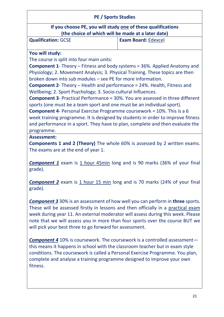#### **PE / Sports Studies**

**If you choose PE, you will study one of these qualifications (the choice of which will be made at a later date)**

**Qualification:** GCSE **Exam Board:** [Edexcel](https://qualifications.pearson.com/en/qualifications/edexcel-gcses/physical-education-2016.html)

#### **You will study:**

The course is split into four main units:

**Component 1**- Theory – Fitness and body systems = 36%. Applied Anatomy and Physiology; 2. Movement Analysis; 3. Physical Training. These topics are then broken down into sub modules – see PE for more information.

**Component 2**- Theory – Health and performance = 24%. Health, Fitness and Wellbeing; 2. Sport Psychology; 3. Socio-cultural Influences.

**Component 3**- Practical Performance = 30%. You are assessed in three different sports (one must be a team sport and one must be an individual sport).

**Component 4**- Personal Exercise Programme coursework = 10%. This is a 6 week training programme. It is designed by students in order to improve fitness and performance in a sport. They have to plan, complete and then evaluate the programme.

#### **Assessment:**

**Components 1 and 2 (Theory)** The whole 60% is assessed by 2 written exams. The exams are at the end of year 1.

**Component 1** exam is 1 hour 45min long and is 90 marks (36% of your final grade).

**Component 2** exam is 1 hour 15 min long and is 70 marks (24% of your final grade).

*Component 3* 30% is an assessment of how well you can perform in **three** sports. These will be assessed firstly in lessons and then officially in a practical exam week during year 11. An external moderator will assess during this week. Please note that we will assess you in more than four sports over the course BUT we will pick your best three to go forward for assessment.

*Component 4* 10% is coursework. The coursework is a controlled assessment this means it happens in school with the classroom teacher but in exam style conditions. The coursework is called a Personal Exercise Programme. You plan, complete and analyse a training programme designed to improve your own fitness.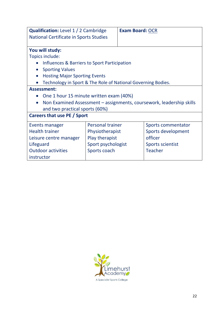| <b>Qualification:</b> Level 1 / 2 Cambridge                                       |                                              | <b>Exam Board: OCR</b> |                    |
|-----------------------------------------------------------------------------------|----------------------------------------------|------------------------|--------------------|
| <b>National Certificate in Sports Studies</b>                                     |                                              |                        |                    |
|                                                                                   |                                              |                        |                    |
| You will study:                                                                   |                                              |                        |                    |
| Topics include:                                                                   |                                              |                        |                    |
|                                                                                   | Influences & Barriers to Sport Participation |                        |                    |
| <b>Sporting Values</b>                                                            |                                              |                        |                    |
| <b>Hosting Major Sporting Events</b>                                              |                                              |                        |                    |
| Technology in Sport & The Role of National Governing Bodies.                      |                                              |                        |                    |
| <b>Assessment:</b>                                                                |                                              |                        |                    |
| One 1 hour 15 minute written exam (40%)<br>$\bullet$                              |                                              |                        |                    |
| Non Examined Assessment – assignments, coursework, leadership skills<br>$\bullet$ |                                              |                        |                    |
| and two practical sports (60%)                                                    |                                              |                        |                    |
| Careers that use PE / Sport                                                       |                                              |                        |                    |
| Events manager                                                                    | <b>Personal trainer</b>                      |                        | Sports commentator |
| <b>Health trainer</b>                                                             | Physiotherapist                              |                        | Sports development |
| Leisure centre manager                                                            | Play therapist                               |                        | officer            |
| Lifeguard                                                                         | Sport psychologist                           |                        | Sports scientist   |
| <b>Outdoor activities</b>                                                         | Sports coach                                 |                        | <b>Teacher</b>     |
| instructor                                                                        |                                              |                        |                    |

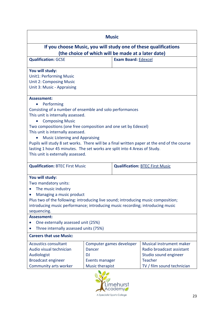| <b>Music</b>                                                                                                                                                                                                                                                                                                                                                                                                                                                                                                                 |                                                                                             |                            |                                                                                                                                |
|------------------------------------------------------------------------------------------------------------------------------------------------------------------------------------------------------------------------------------------------------------------------------------------------------------------------------------------------------------------------------------------------------------------------------------------------------------------------------------------------------------------------------|---------------------------------------------------------------------------------------------|----------------------------|--------------------------------------------------------------------------------------------------------------------------------|
|                                                                                                                                                                                                                                                                                                                                                                                                                                                                                                                              |                                                                                             |                            | If you choose Music, you will study one of these qualifications                                                                |
| (the choice of which will be made at a later date)                                                                                                                                                                                                                                                                                                                                                                                                                                                                           |                                                                                             |                            |                                                                                                                                |
| <b>Qualification: GCSE</b>                                                                                                                                                                                                                                                                                                                                                                                                                                                                                                   |                                                                                             | <b>Exam Board: Edexcel</b> |                                                                                                                                |
| You will study:<br><b>Unit1: Performing Music</b><br><b>Unit 2: Composing Music</b><br>Unit 3: Music - Appraising                                                                                                                                                                                                                                                                                                                                                                                                            |                                                                                             |                            |                                                                                                                                |
| <b>Assessment:</b><br>Performing<br>Consisting of a number of ensemble and solo performances<br>This unit is internally assessed.<br><b>Composing Music</b><br>Two compositions (one free composition and one set by Edexcel)<br>This unit is internally assessed.<br><b>Music Listening and Appraising</b><br>Pupils will study 8 set works. There will be a final written paper at the end of the course<br>lasting 1 hour 45 minutes. The set works are split into 4 Areas of Study.<br>This unit is externally assessed. |                                                                                             |                            |                                                                                                                                |
| <b>Qualification: BTEC First Music</b><br><b>Qualification: BTEC First Music</b>                                                                                                                                                                                                                                                                                                                                                                                                                                             |                                                                                             |                            |                                                                                                                                |
| You will study:<br>Two mandatory units:<br>The music industry<br>Managing a music product<br>Plus two of the following: introducing live sound; introducing music composition;<br>introducing music performance; introducing music recording; introducing music<br>sequencing.                                                                                                                                                                                                                                               |                                                                                             |                            |                                                                                                                                |
| <b>Assessment:</b><br>One externally assessed unit (25%)<br>Three internally assessed units (75%)                                                                                                                                                                                                                                                                                                                                                                                                                            |                                                                                             |                            |                                                                                                                                |
| <b>Careers that use Music:</b>                                                                                                                                                                                                                                                                                                                                                                                                                                                                                               |                                                                                             |                            |                                                                                                                                |
| <b>Acoustics consultant</b><br>Audio visual technician<br>Audiologist<br><b>Broadcast engineer</b><br>Community arts worker                                                                                                                                                                                                                                                                                                                                                                                                  | Computer games developer<br><b>Dancer</b><br><b>DJ</b><br>Events manager<br>Music therapist |                            | Musical instrument maker<br>Radio broadcast assistant<br>Studio sound engineer<br><b>Teacher</b><br>TV / film sound technician |
|                                                                                                                                                                                                                                                                                                                                                                                                                                                                                                                              |                                                                                             |                            |                                                                                                                                |

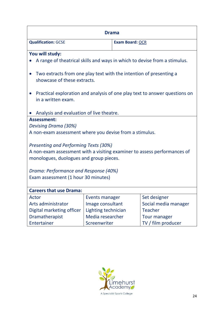| <b>Drama</b>                                                                                      |                     |                        |                      |
|---------------------------------------------------------------------------------------------------|---------------------|------------------------|----------------------|
| <b>Qualification: GCSE</b>                                                                        |                     | <b>Exam Board: OCR</b> |                      |
| You will study:                                                                                   |                     |                        |                      |
| A range of theatrical skills and ways in which to devise from a stimulus.                         |                     |                        |                      |
| Two extracts from one play text with the intention of presenting a<br>showcase of these extracts. |                     |                        |                      |
| Practical exploration and analysis of one play text to answer questions on<br>in a written exam.  |                     |                        |                      |
| Analysis and evaluation of live theatre.<br><b>Assessment:</b>                                    |                     |                        |                      |
| Devising Drama (30%)                                                                              |                     |                        |                      |
|                                                                                                   |                     |                        |                      |
| A non-exam assessment where you devise from a stimulus.                                           |                     |                        |                      |
| <b>Presenting and Performing Texts (30%)</b>                                                      |                     |                        |                      |
| A non-exam assessment with a visiting examiner to assess performances of                          |                     |                        |                      |
| monologues, duologues and group pieces.                                                           |                     |                        |                      |
| Drama: Performance and Response (40%)                                                             |                     |                        |                      |
| Exam assessment (1 hour 30 minutes)                                                               |                     |                        |                      |
| <b>Careers that use Drama:</b>                                                                    |                     |                        |                      |
| Actor                                                                                             | Events manager      |                        | Set designer         |
| Arts administrator                                                                                | Image consultant    |                        | Social media manager |
| Digital marketing officer                                                                         | Lighting technician |                        | <b>Teacher</b>       |
| Dramatherapist                                                                                    | Media researcher    |                        | <b>Tour manager</b>  |
| Entertainer                                                                                       | Screenwriter        |                        | TV / film producer   |

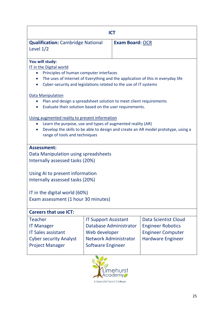| <b>ICT</b><br><b>Qualification: Cambridge National</b><br><b>Exam Board: OCR</b><br>Level $1/2$<br>You will study:<br>IT in the Digital world<br>Principles of human computer interfaces<br>$\bullet$ |  |  |  |
|-------------------------------------------------------------------------------------------------------------------------------------------------------------------------------------------------------|--|--|--|
|                                                                                                                                                                                                       |  |  |  |
|                                                                                                                                                                                                       |  |  |  |
|                                                                                                                                                                                                       |  |  |  |
|                                                                                                                                                                                                       |  |  |  |
|                                                                                                                                                                                                       |  |  |  |
|                                                                                                                                                                                                       |  |  |  |
|                                                                                                                                                                                                       |  |  |  |
| The uses of Internet of Everything and the application of this in everyday life<br>Cyber-security and legislations related to the use of IT systems                                                   |  |  |  |
|                                                                                                                                                                                                       |  |  |  |
| <b>Data Manipulation</b>                                                                                                                                                                              |  |  |  |
| Plan and design a spreadsheet solution to meet client requirements                                                                                                                                    |  |  |  |
| Evaluate their solution based on the user requirements.                                                                                                                                               |  |  |  |
| Using augmented reality to present information                                                                                                                                                        |  |  |  |
| Learn the purpose, use and types of augmented reality (AR)<br>$\bullet$                                                                                                                               |  |  |  |
| Develop the skills to be able to design and create an AR model prototype, using a                                                                                                                     |  |  |  |
| range of tools and techniques                                                                                                                                                                         |  |  |  |
|                                                                                                                                                                                                       |  |  |  |
| <b>Assessment:</b>                                                                                                                                                                                    |  |  |  |
| Data Manipulation using spreadsheets                                                                                                                                                                  |  |  |  |
| Internally assessed tasks (20%)                                                                                                                                                                       |  |  |  |
|                                                                                                                                                                                                       |  |  |  |
| Using AI to present information<br>Internally assessed tasks (20%)                                                                                                                                    |  |  |  |
|                                                                                                                                                                                                       |  |  |  |
| IT in the digital world (60%)                                                                                                                                                                         |  |  |  |
| Exam assessment (1 hour 30 minutes)                                                                                                                                                                   |  |  |  |
|                                                                                                                                                                                                       |  |  |  |
| <b>Careers that use ICT:</b>                                                                                                                                                                          |  |  |  |
| <b>Teacher</b><br>Data Scientist Cloud<br><b>IT Support Assistant</b>                                                                                                                                 |  |  |  |
| Database Administrator<br><b>Engineer Robotics</b><br><b>IT Manager</b>                                                                                                                               |  |  |  |
| <b>IT Sales assistant</b><br>Web developer<br><b>Engineer Computer</b>                                                                                                                                |  |  |  |
| <b>Network Administrator</b><br><b>Cyber security Analyst</b><br><b>Hardware Engineer</b>                                                                                                             |  |  |  |
| <b>Project Manager</b><br><b>Software Engineer</b>                                                                                                                                                    |  |  |  |
|                                                                                                                                                                                                       |  |  |  |

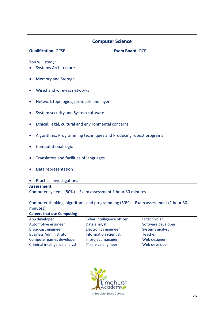| <b>Computer Science</b>                                                                      |                              |                        |                    |
|----------------------------------------------------------------------------------------------|------------------------------|------------------------|--------------------|
| <b>Qualification: GCSE</b>                                                                   |                              | <b>Exam Board: OCR</b> |                    |
| You will study:<br><b>Systems Architecture</b>                                               |                              |                        |                    |
| <b>Memory and Storage</b>                                                                    |                              |                        |                    |
| Wired and wireless networks                                                                  |                              |                        |                    |
| Network topologies, protocols and layers                                                     |                              |                        |                    |
| System security and System software                                                          |                              |                        |                    |
| Ethical, legal, cultural and environmental concerns                                          |                              |                        |                    |
| Algorithms, Programming techniques and Producing robust programs                             |                              |                        |                    |
| <b>Computational logic</b>                                                                   |                              |                        |                    |
| Translators and facilities of languages                                                      |                              |                        |                    |
| Data representation                                                                          |                              |                        |                    |
| <b>Practical Investigations</b>                                                              |                              |                        |                    |
| <b>Assessment:</b>                                                                           |                              |                        |                    |
| Computer systems (50%) - Exam assessment 1 hour 30 minutes                                   |                              |                        |                    |
| Computer thinking, algorithms and programming (50%) - Exam assessment (1 hour 30<br>minutes) |                              |                        |                    |
| <b>Careers that use Computing</b>                                                            |                              |                        |                    |
| App developer                                                                                | Cyber intelligence officer   |                        | IT technician      |
| Automotive engineer                                                                          | Data analyst                 |                        | Software developer |
| <b>Broadcast engineer</b>                                                                    | <b>Electronics engineer</b>  |                        | Systems analyst    |
| <b>Business Administrator</b>                                                                | <b>Information scientist</b> |                        | <b>Teacher</b>     |
| Computer games developer                                                                     | IT project manager           |                        | Web designer       |
| Criminal intelligence analyst                                                                | IT service engineer          |                        | Web developer      |